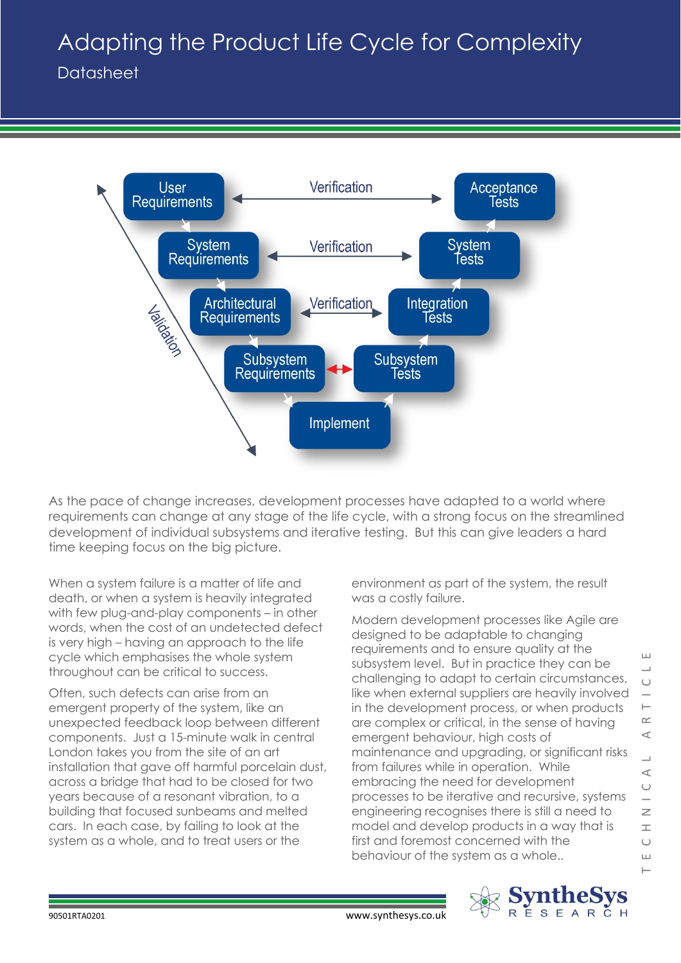## Adapting the Product Life Cycle for Complexity

Datasheet



As the pace of change increases, development processes have adapted to a world where requirements can change at any stage of the life cycle, with a strong focus on the streamlined development of individual subsystems and iterative testing. But this can give leaders a hard time keeping focus on the big picture.

When a system failure is a matter of life and death, or when a system is heavily integrated with few plug-and-play components – in other words, when the cost of an undetected defect is very high – having an approach to the life cycle which emphasises the whole system throughout can be critical to success.

Often, such defects can arise from an emergent property of the system, like an unexpected feedback loop between different components. Just a 15-minute walk in central London takes you from the site of an art installation that gave off harmful porcelain dust, across a bridge that had to be closed for two years because of a resonant vibration, to a building that focused sunbeams and melted cars. In each case, by failing to look at the system as a whole, and to treat users or the

environment as part of the system, the result was a costly failure.

Modern development processes like Agile are designed to be adaptable to changing requirements and to ensure quality at the subsystem level. But in practice they can be challenging to adapt to certain circumstances, like when external suppliers are heavily involved in the development process, or when products are complex or critical, in the sense of having emergent behaviour, high costs of maintenance and upgrading, or significant risks from failures while in operation. While embracing the need for development processes to be iterative and recursive, systems engineering recognises there is still a need to model and develop products in a way that is first and foremost concerned with the behaviour of the system as a whole..